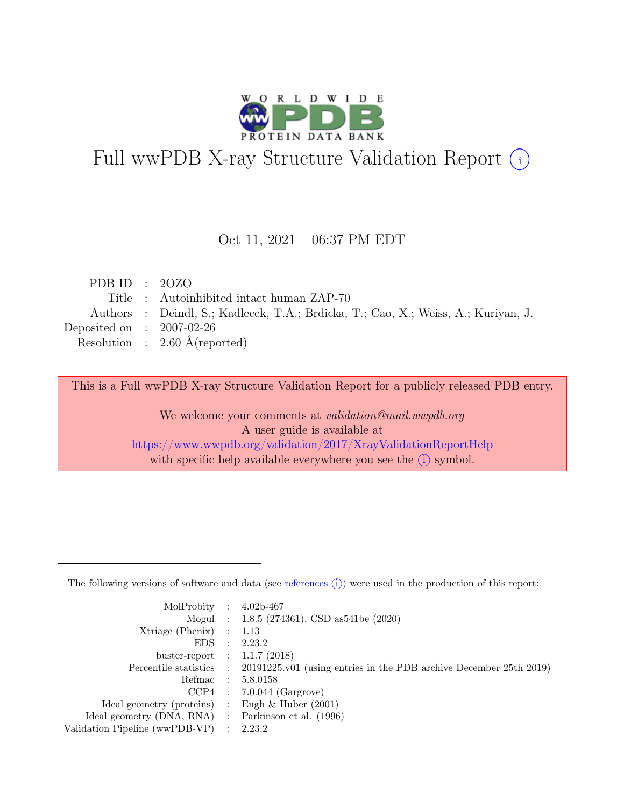

# Full wwPDB X-ray Structure Validation Report  $(i)$

#### Oct 11, 2021 – 06:37 PM EDT

| PDB ID : $20ZO$             |                                                                                    |
|-----------------------------|------------------------------------------------------------------------------------|
|                             | Title: Autoinhibited intact human ZAP-70                                           |
|                             | Authors : Deindl, S.; Kadlecek, T.A.; Brdicka, T.; Cao, X.; Weiss, A.; Kuriyan, J. |
| Deposited on : $2007-02-26$ |                                                                                    |
|                             | Resolution : $2.60 \text{ Å}$ (reported)                                           |
|                             |                                                                                    |

This is a Full wwPDB X-ray Structure Validation Report for a publicly released PDB entry.

We welcome your comments at validation@mail.wwpdb.org A user guide is available at <https://www.wwpdb.org/validation/2017/XrayValidationReportHelp> with specific help available everywhere you see the  $(i)$  symbol.

The following versions of software and data (see [references](https://www.wwpdb.org/validation/2017/XrayValidationReportHelp#references)  $(i)$ ) were used in the production of this report:

| MolProbity : $4.02b-467$                            |                                                                                            |
|-----------------------------------------------------|--------------------------------------------------------------------------------------------|
|                                                     | Mogul : $1.8.5$ (274361), CSD as 541be (2020)                                              |
| $Xtriangle (Phenix)$ : 1.13                         |                                                                                            |
|                                                     | EDS : 2.23.2                                                                               |
| buster-report : $1.1.7$ (2018)                      |                                                                                            |
|                                                     | Percentile statistics : 20191225.v01 (using entries in the PDB archive December 25th 2019) |
|                                                     | Refmac : 5.8.0158                                                                          |
|                                                     | $CCP4$ : 7.0.044 (Gargrove)                                                                |
| Ideal geometry (proteins) : Engh $\&$ Huber (2001)  |                                                                                            |
| Ideal geometry (DNA, RNA) : Parkinson et al. (1996) |                                                                                            |
| Validation Pipeline (wwPDB-VP) : 2.23.2             |                                                                                            |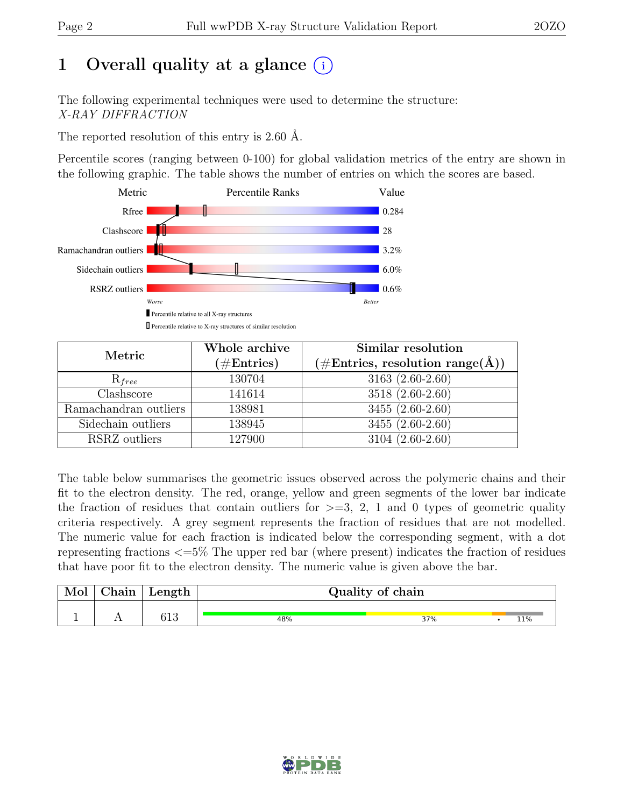# 1 Overall quality at a glance  $(i)$

The following experimental techniques were used to determine the structure: X-RAY DIFFRACTION

The reported resolution of this entry is 2.60 Å.

Percentile scores (ranging between 0-100) for global validation metrics of the entry are shown in the following graphic. The table shows the number of entries on which the scores are based.



| Metric                | Whole archive | Similar resolution                                           |
|-----------------------|---------------|--------------------------------------------------------------|
|                       | $(\#Entries)$ | $(\# \text{Entries}, \text{ resolution } \text{range}(\AA))$ |
| $R_{free}$            | 130704        | $3163(2.60-2.60)$                                            |
| Clashscore            | 141614        | 3518 (2.60-2.60)                                             |
| Ramachandran outliers | 138981        | $3455(2.60-2.60)$                                            |
| Sidechain outliers    | 138945        | $3455(2.60-2.60)$                                            |
| RSRZ outliers         | 127900        | 3104 (2.60-2.60)                                             |

The table below summarises the geometric issues observed across the polymeric chains and their fit to the electron density. The red, orange, yellow and green segments of the lower bar indicate the fraction of residues that contain outliers for  $\geq$ =3, 2, 1 and 0 types of geometric quality criteria respectively. A grey segment represents the fraction of residues that are not modelled. The numeric value for each fraction is indicated below the corresponding segment, with a dot representing fractions <=5% The upper red bar (where present) indicates the fraction of residues that have poor fit to the electron density. The numeric value is given above the bar.

| Mol | ngin 1<br>лианн | Length       | Quality of chain |     |  |     |  |  |  |  |
|-----|-----------------|--------------|------------------|-----|--|-----|--|--|--|--|
|     |                 | າ 1 ດ<br>ナエウ | 48%              | 37% |  | 11% |  |  |  |  |

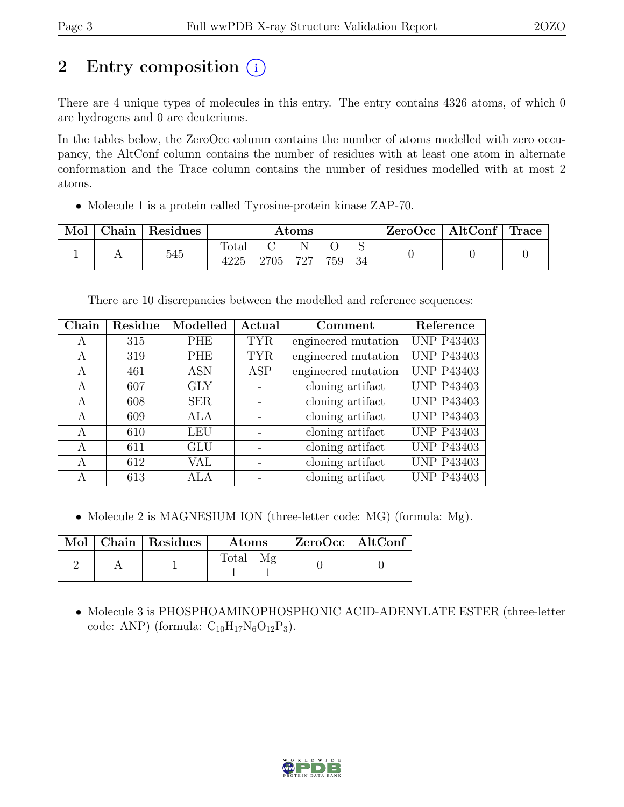# 2 Entry composition (i)

There are 4 unique types of molecules in this entry. The entry contains 4326 atoms, of which 0 are hydrogens and 0 are deuteriums.

In the tables below, the ZeroOcc column contains the number of atoms modelled with zero occupancy, the AltConf column contains the number of residues with at least one atom in alternate conformation and the Trace column contains the number of residues modelled with at most 2 atoms.

• Molecule 1 is a protein called Tyrosine-protein kinase ZAP-70.

| Mol | Chain | Residues | Atoms         |      |          | $\text{ZeroOcc} \mid \text{AltConf} \mid$ | $\vert$ Trace $\vert$ |  |  |
|-----|-------|----------|---------------|------|----------|-------------------------------------------|-----------------------|--|--|
|     |       | 545      | Total<br>4225 | 2705 | N<br>727 | 759                                       | 34                    |  |  |

There are 10 discrepancies between the modelled and reference sequences:

| Chain | Residue | Modelled   | Actual     | Comment             | Reference         |
|-------|---------|------------|------------|---------------------|-------------------|
| A     | 315     | <b>PHE</b> | <b>TYR</b> | engineered mutation | <b>UNP P43403</b> |
| A     | 319     | <b>PHE</b> | <b>TYR</b> | engineered mutation | <b>UNP P43403</b> |
| A     | 461     | <b>ASN</b> | <b>ASP</b> | engineered mutation | <b>UNP P43403</b> |
| A     | 607     | <b>GLY</b> |            | cloning artifact    | <b>UNP P43403</b> |
| А     | 608     | <b>SER</b> |            | cloning artifact    | <b>UNP P43403</b> |
| A     | 609     | ALA        |            | cloning artifact    | <b>UNP P43403</b> |
| A     | 610     | <b>LEU</b> |            | cloning artifact    | <b>UNP P43403</b> |
| А     | 611     | <b>GLU</b> |            | cloning artifact    | <b>UNP P43403</b> |
| A     | 612     | VAL        |            | cloning artifact    | <b>UNP P43403</b> |
| A     | 613     | ALA        |            | cloning artifact    | <b>UNP P43403</b> |

• Molecule 2 is MAGNESIUM ION (three-letter code: MG) (formula: Mg).

|  | Mol   Chain   Residues | Atoms        | $ZeroOcc \   \ AltConf \$ |  |
|--|------------------------|--------------|---------------------------|--|
|  |                        | <b>Total</b> |                           |  |

• Molecule 3 is PHOSPHOAMINOPHOSPHONIC ACID-ADENYLATE ESTER (three-letter code: ANP) (formula:  $C_{10}H_{17}N_6O_{12}P_3$ ).

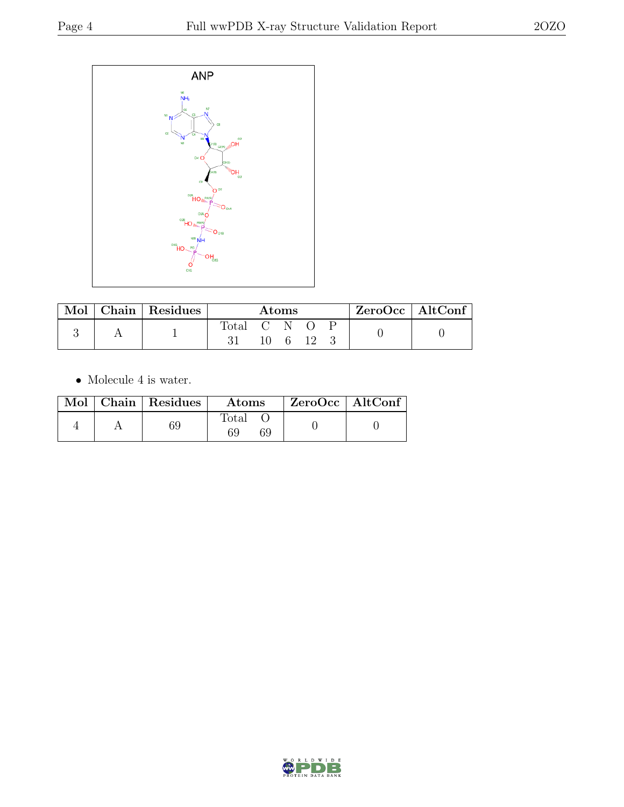

| Mol | Chain Residues | <b>Atoms</b> |  |    |  | $ZeroOcc \   \$ AltConf |  |  |
|-----|----------------|--------------|--|----|--|-------------------------|--|--|
|     |                | Total C N O  |  | -6 |  |                         |  |  |

 $\bullet\,$  Molecule 4 is water.

|  | $Mol$   Chain   Residues | <b>Atoms</b>               | $ZeroOcc \   \$ AltConf |
|--|--------------------------|----------------------------|-------------------------|
|  | 69                       | $\text{Total}$<br>69<br>59 |                         |

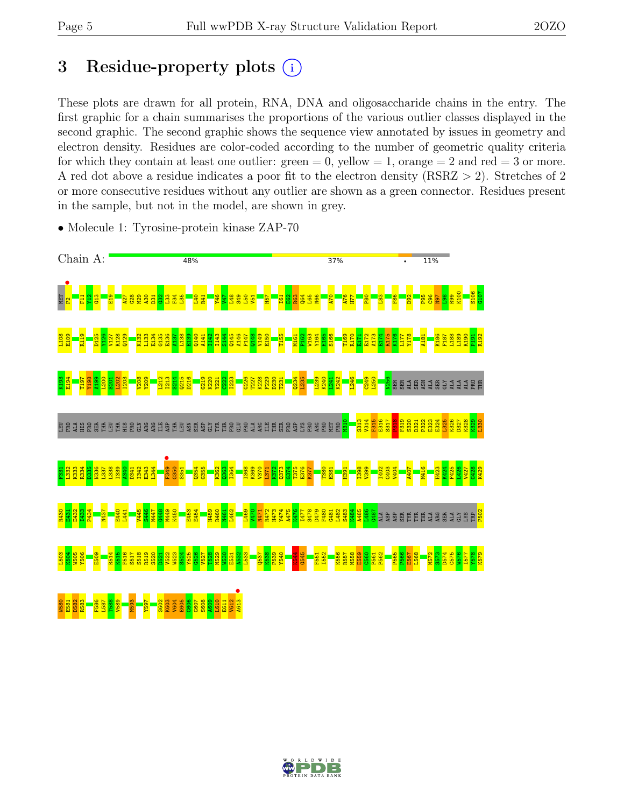# 3 Residue-property plots  $(i)$

These plots are drawn for all protein, RNA, DNA and oligosaccharide chains in the entry. The first graphic for a chain summarises the proportions of the various outlier classes displayed in the second graphic. The second graphic shows the sequence view annotated by issues in geometry and electron density. Residues are color-coded according to the number of geometric quality criteria for which they contain at least one outlier:  $green = 0$ , yellow  $= 1$ , orange  $= 2$  and red  $= 3$  or more. A red dot above a residue indicates a poor fit to the electron density (RSRZ > 2). Stretches of 2 or more consecutive residues without any outlier are shown as a green connector. Residues present in the sample, but not in the model, are shown in grey.



• Molecule 1: Tyrosine-protein kinase ZAP-70

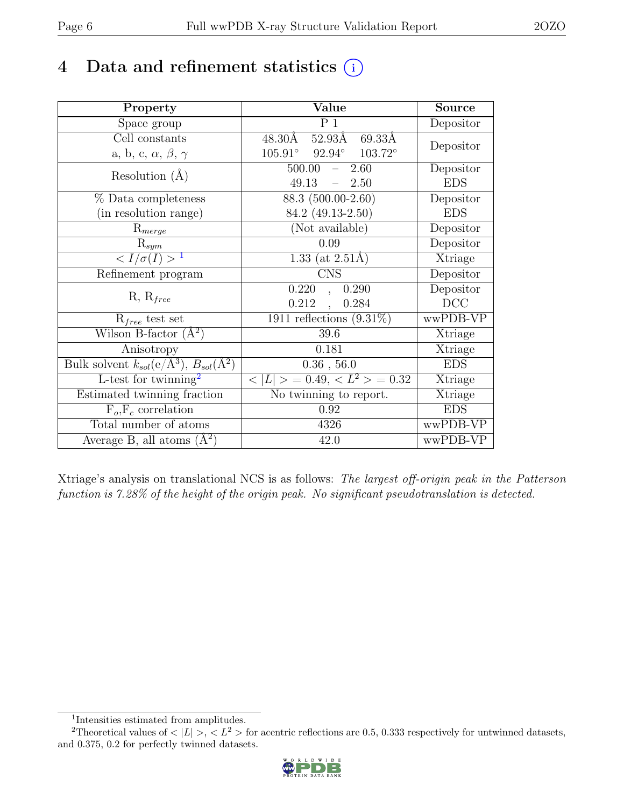# 4 Data and refinement statistics  $(i)$

| Property                                                         | Value                                             | <b>Source</b> |
|------------------------------------------------------------------|---------------------------------------------------|---------------|
| Space group                                                      | P <sub>1</sub>                                    | Depositor     |
| Cell constants                                                   | 48.30Å 52.93Å<br>69.33Å                           | Depositor     |
| a, b, c, $\alpha$ , $\beta$ , $\gamma$                           | $105.91^{\circ}$ $92.94^{\circ}$ $103.72^{\circ}$ |               |
| Resolution $(A)$                                                 | $500.00 - 2.60$                                   | Depositor     |
|                                                                  | 49.13<br>$-2.50$                                  | <b>EDS</b>    |
| % Data completeness                                              | 88.3 (500.00-2.60)                                | Depositor     |
| (in resolution range)                                            | 84.2 (49.13-2.50)                                 | <b>EDS</b>    |
| $R_{merge}$                                                      | (Not available)                                   | Depositor     |
| $\mathrm{R}_{sym}$                                               | 0.09                                              | Depositor     |
| $\langle I/\sigma(I)\rangle^{-1}$                                | 1.33 (at $2.51\text{\AA}$ )                       | Xtriage       |
| Refinement program                                               | <b>CNS</b>                                        | Depositor     |
| $R, R_{free}$                                                    | 0.220<br>0.290<br>$\ddot{\phantom{a}}$            | Depositor     |
|                                                                  | 0.212<br>0.284<br>$\ddot{\phantom{a}}$            | DCC           |
| $R_{free}$ test set                                              | 1911 reflections $(9.31\%)$                       | wwPDB-VP      |
| Wilson B-factor $(A^2)$                                          | 39.6                                              | Xtriage       |
| Anisotropy                                                       | 0.181                                             | Xtriage       |
| Bulk solvent $k_{sol}(\text{e}/\text{A}^3), B_{sol}(\text{A}^2)$ | 0.36, 56.0                                        | <b>EDS</b>    |
| L-test for twinning <sup>2</sup>                                 | $< L >$ = 0.49, $< L^2 >$ = 0.32                  | Xtriage       |
| Estimated twinning fraction                                      | No twinning to report.                            | Xtriage       |
| $F_o, F_c$ correlation                                           | 0.92                                              | <b>EDS</b>    |
| Total number of atoms                                            | 4326                                              | wwPDB-VP      |
| Average B, all atoms $(A^2)$                                     | 42.0                                              | wwPDB-VP      |

Xtriage's analysis on translational NCS is as follows: The largest off-origin peak in the Patterson function is 7.28% of the height of the origin peak. No significant pseudotranslation is detected.

<sup>&</sup>lt;sup>2</sup>Theoretical values of  $\langle |L| \rangle$ ,  $\langle L^2 \rangle$  for acentric reflections are 0.5, 0.333 respectively for untwinned datasets, and 0.375, 0.2 for perfectly twinned datasets.



<span id="page-5-1"></span><span id="page-5-0"></span><sup>1</sup> Intensities estimated from amplitudes.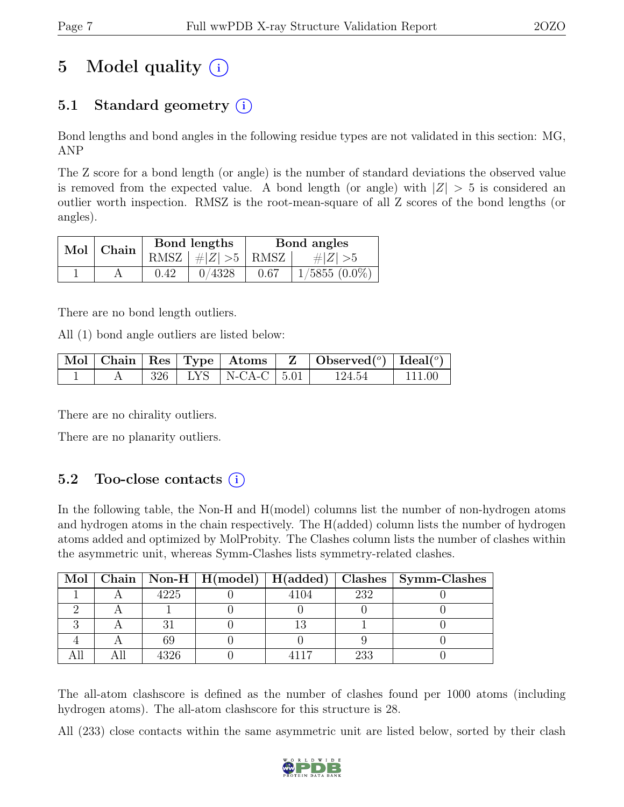# 5 Model quality  $(i)$

# 5.1 Standard geometry (i)

Bond lengths and bond angles in the following residue types are not validated in this section: MG, ANP

The Z score for a bond length (or angle) is the number of standard deviations the observed value is removed from the expected value. A bond length (or angle) with  $|Z| > 5$  is considered an outlier worth inspection. RMSZ is the root-mean-square of all Z scores of the bond lengths (or angles).

| Mol   Chain |      | Bond lengths         | Bond angles |                 |  |
|-------------|------|----------------------|-------------|-----------------|--|
|             |      | RMSZ $ #Z  > 5$ RMSZ |             | $\# Z  > 5$     |  |
|             | 0.42 | 0/4328               | 0.67        | $1/5855(0.0\%)$ |  |

There are no bond length outliers.

All (1) bond angle outliers are listed below:

|  |  |                             | $\mid$ Mol $\mid$ Chain $\mid$ Res $\mid$ Type $\mid$ Atoms $\mid$ Z $\mid$ Observed( <sup>o</sup> ) $\mid$ Ideal( <sup>o</sup> ) |              |
|--|--|-----------------------------|-----------------------------------------------------------------------------------------------------------------------------------|--------------|
|  |  | $326$   LYS   N-CA-C   5.01 | 124.54                                                                                                                            | $\pm 111.00$ |

There are no chirality outliers.

There are no planarity outliers.

### 5.2 Too-close contacts  $(i)$

In the following table, the Non-H and H(model) columns list the number of non-hydrogen atoms and hydrogen atoms in the chain respectively. The H(added) column lists the number of hydrogen atoms added and optimized by MolProbity. The Clashes column lists the number of clashes within the asymmetric unit, whereas Symm-Clashes lists symmetry-related clashes.

|  |      |      |     | Mol   Chain   Non-H   H(model)   H(added)   Clashes   Symm-Clashes |
|--|------|------|-----|--------------------------------------------------------------------|
|  | 4225 | 4104 | 232 |                                                                    |
|  |      |      |     |                                                                    |
|  |      |      |     |                                                                    |
|  |      |      |     |                                                                    |
|  | 396  |      | 233 |                                                                    |

The all-atom clashscore is defined as the number of clashes found per 1000 atoms (including hydrogen atoms). The all-atom clashscore for this structure is 28.

All (233) close contacts within the same asymmetric unit are listed below, sorted by their clash

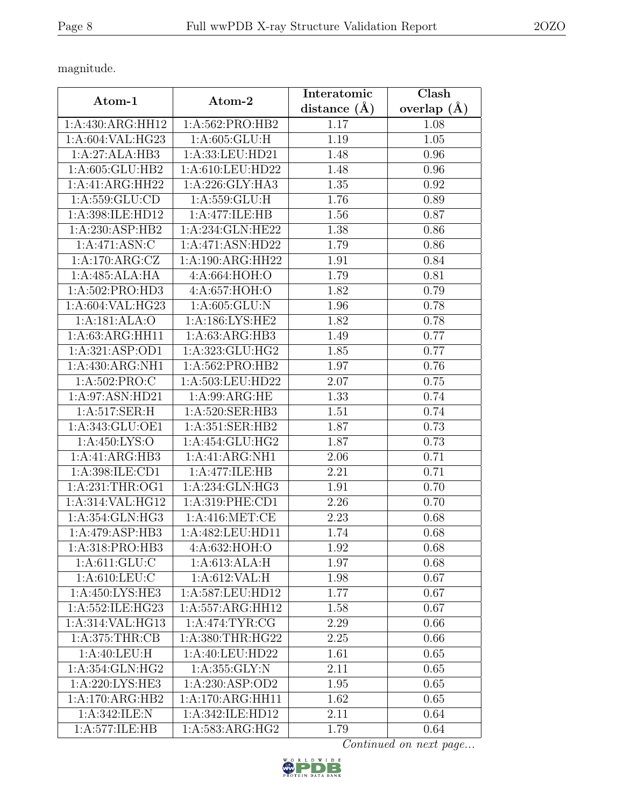magnitude.

| Atom-1             | Atom-2               | Interatomic      | Clash           |
|--------------------|----------------------|------------------|-----------------|
|                    |                      | distance $(\AA)$ | overlap $(\AA)$ |
| 1:A:430:ARG:HH12   | 1:A:562:PRO:HB2      | 1.17             | 1.08            |
| 1:A:604:VAL:HG23   | 1: A:605: GLU: H     | 1.19             | $1.05\,$        |
| 1:A:27:ALA:HB3     | 1:A:33:LEU:HD21      | 1.48             | 0.96            |
| 1:A:605:GLU:HB2    | 1:A:610:LEU:HD22     | 1.48             | 0.96            |
| 1:A:41:ARG:HH22    | 1:A:226:GLY:HA3      | 1.35             | 0.92            |
| 1:A:559:GLU:CD     | 1: A: 559: GLU: H    | 1.76             | 0.89            |
| 1:A:398:ILE:HD12   | 1:A:477:ILE:HB       | 1.56             | 0.87            |
| 1:A:230:ASP:HB2    | 1:A:234:GLN:HE22     | 1.38             | 0.86            |
| 1:A:471:ASN:C      | 1:A:471:ASN:HD22     | 1.79             | 0.86            |
| 1:A:170:ARG:CZ     | 1:A:190:ARG:HH22     | 1.91             | 0.84            |
| 1:A:485:ALA:HA     | 4:A:664:HOH:O        | 1.79             | 0.81            |
| 1: A:502: PRO:HD3  | 4:A:657:HOH:O        | 1.82             | 0.79            |
| 1:A:604:VAL:HG23   | 1: A:605: GLU: N     | 1.96             | 0.78            |
| 1:A:181:ALA:O      | 1: A: 186: LYS: HE2  | 1.82             | 0.78            |
| 1:A:63:ARG:HH11    | 1: A:63: ARG:HB3     | 1.49             | 0.77            |
| 1:A:321:ASP:OD1    | 1:A:323:GLU:HG2      | 1.85             | 0.77            |
| 1:A:430:ARG:NH1    | 1:A:562:PRO:HB2      | 1.97             | 0.76            |
| 1: A:502: PRO: C   | 1:A:503:LEU:HD22     | 2.07             | 0.75            |
| 1:A:97:ASN:HD21    | 1: A:99: ARG: HE     | 1.33             | 0.74            |
| 1: A:517: SER:H    | 1:A:520:SER:HB3      | 1.51             | 0.74            |
| 1:A:343:GLU:OE1    | 1:A:351:SER:HB2      | 1.87             | 0.73            |
| 1:A:450:LYS:O      | 1:A:454:GLU:HG2      | 1.87             | 0.73            |
| 1:A:41:ARG:HB3     | 1:A:41:ARG:NH1       | 2.06             | 0.71            |
| 1:A:398:ILE:CD1    | 1:A:477:ILE:HB       | 2.21             | 0.71            |
| 1: A:231:THR:OG1   | 1:A:234:GLN:HG3      | 1.91             | 0.70            |
| 1:A:314:VAL:HG12   | 1:A:319:PHE:CD1      | 2.26             | 0.70            |
| $1:A:354:$ GLN:HG3 | 1: A:416: MET:CE     | 2.23             | 0.68            |
| 1:A:479:ASP:HB3    | 1:A:482:LEU:HD11     | 1.74             | 0.68            |
| 1:A:318:PRO:HB3    | 4:A:632:HOH:O        | 1.92             | 0.68            |
| 1: A:611: GLU:C    | 1:A:613:ALA:H        | 1.97             | 0.68            |
| 1: A:610:LEU:C     | 1: A:612: VAL:H      | 1.98             | 0.67            |
| 1:A:450:LYS:HE3    | 1:A:587:LEU:HD12     | 1.77             | 0.67            |
| 1:A:552:ILE:HG23   | 1:A:557:ARG:HH12     | 1.58             | 0.67            |
| 1:A:314:VAL:HG13   | 1: A:474:TYR:CG      | 2.29             | 0.66            |
| 1: A:375:THR:CB    | 1: A: 380: THR: HG22 | 2.25             | 0.66            |
| 1:A:40:LEU:H       | 1:A:40:LEU:HD22      | 1.61             | 0.65            |
| 1:A:354:GLN:HG2    | 1: A: 355: GLY:N     | 2.11             | 0.65            |
| 1: A:220: LYS: HE3 | 1:A:230:ASP:OD2      | 1.95             | 0.65            |
| 1:A:170:ARG:HB2    | 1:A:170:ARG:HH11     | 1.62             | 0.65            |
| 1:A:342:ILE:N      | 1:A:342:ILE:HD12     | 2.11             | 0.64            |
| 1:A:577:ILE:HB     | 1:A:583:ARG:HG2      | 1.79             | 0.64            |

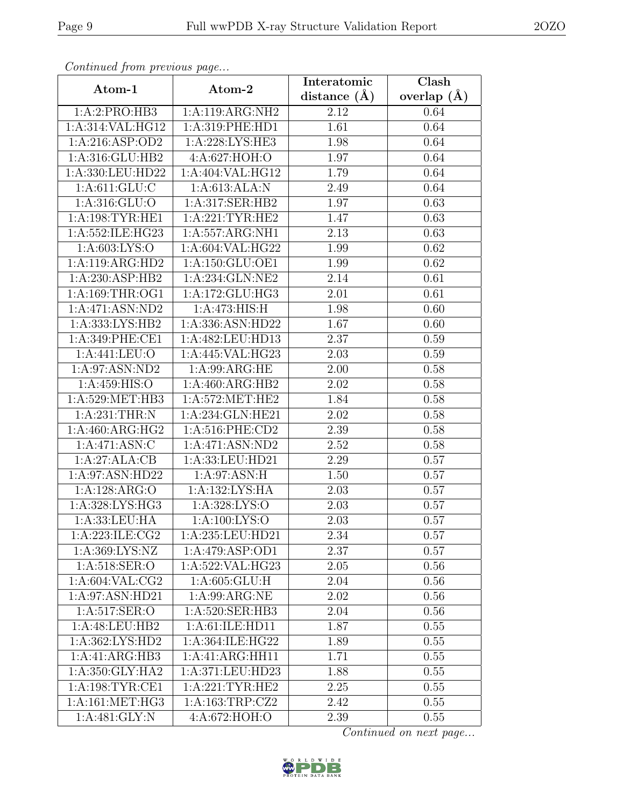| Continuea from previous page |                               | Interatomic    | Clash             |
|------------------------------|-------------------------------|----------------|-------------------|
| Atom-1                       | Atom-2                        | distance $(A)$ | overlap $(A)$     |
| 1:A:2:PRO:HB3                | 1:A:119:ARG:NH2               | 2.12           | 0.64              |
| 1:A:314:VAL:HG12             | 1:A:319:PHE:HD1               | 1.61           | 0.64              |
| 1: A:216: ASP:OD2            | 1:A:228:LYS:HE3               | 1.98           | 0.64              |
| 1:A:316:GLU:HB2              | 4:A:627:HOH:O                 | 1.97           | $0.\overline{64}$ |
| 1:A:330:LEU:HD22             | 1:A:404:VAL:HG12              | 1.79           | 0.64              |
| 1: A:611: GLU:C              | 1:A:613:ALA:N                 | 2.49           | 0.64              |
| 1:A:316:GLU:O                | 1:A:317:SER:HB2               | 1.97           | 0.63              |
| 1: A: 198: TYR: HE1          | 1: A:221:TYR:HE2              | 1.47           | 0.63              |
| 1:A:552:ILE:HG23             | 1:A:557:ARG:NH1               | 2.13           | 0.63              |
| 1: A:603: LYS:O              | 1:A:604:VAL:HG22              | 1.99           | 0.62              |
| 1:A:119:ARG:HD2              | 1:A:150:GLU:OE1               | 1.99           | 0.62              |
| 1:A:230:ASP:HB2              | 1:A:234:GLN:NE2               | 2.14           | 0.61              |
| 1: A: 169: THR: OG1          | 1:A:172:GLU:HG3               | 2.01           | 0.61              |
| 1:A:471:ASN:ND2              | 1:A:473:HIS:H                 | 1.98           | 0.60              |
| 1:A:333:LYS:HB2              | 1:A:336:ASN:HD22              | 1.67           | 0.60              |
| 1:A:349:PHE:CE1              | 1:A:482:LEU:HD13              | 2.37           | 0.59              |
| 1:A:441:LEU:O                | 1:A:445:VAL:HG23              | 2.03           | 0.59              |
| 1:A:97:ASN:ND2               | $1:A:99:ARG:\overline{HE}$    | 2.00           | 0.58              |
| 1:A:459:HIS:O                | 1:A:460:ARG:HB2               | 2.02           | 0.58              |
| 1:A:529:MET:HB3              | 1: A:572:MET:HE2              | 1.84           | 0.58              |
| 1:A:231:THR:N                | 1:A:234:GLN:HE21              | 2.02           | 0.58              |
| 1: A:460:ARG:HG2             | 1:A:516:PHE:CD2               | 2.39           | 0.58              |
| 1:A:471:ASN:C                | 1:A:471:ASN:ND2               | 2.52           | 0.58              |
| 1:A:27:ALA:CB                | 1:A:33:LEU:HD21               | 2.29           | 0.57              |
| 1:A:97:ASN:HD22              | 1: A:97: ASN:H                | 1.50           | 0.57              |
| 1:A:128:ARG:O                | 1:A:132:LYS:HA                | 2.03           | 0.57              |
| 1:A:328:LYS:HG3              | 1:A:328:LYS:O                 | 2.03           | 0.57              |
| 1:A:33:LEU:HA                | $1: A:100: LYS: \overline{O}$ | 2.03           | 0.57              |
| 1:A:223:ILE:CG2              | 1:A:235:LEU:HD21              | 2.34           | 0.57              |
| 1: A:369: LYS: NZ            | 1:A:479:ASP:OD1               | 2.37           | 0.57              |
| 1: A:518: SER:O              | 1:A:522:VAL:HG23              | 2.05           | 0.56              |
| 1: A:604: VAL:CG2            | 1: A:605: GLU: H              | 2.04           | 0.56              |
| 1:A:97:ASN:HD21              | $1:A:99:AR\overline{G:NE}$    | 2.02           | 0.56              |
| 1:A:517:SER:O                | 1:A:520:SER:HB3               | 2.04           | 0.56              |
| 1: A:48:LEU:HB2              | 1:A:61:ILE:HD11               | 1.87           | 0.55              |
| 1:A:362:LYS:HD2              | 1:A:364:ILE:HG22              | 1.89           | 0.55              |
| 1:A:41:ARG:HB3               | 1:A:41:ARG:HH11               | 1.71           | 0.55              |
| 1:A:350:GLY:HA2              | 1:A:371:LEU:HD23              | 1.88           | 0.55              |
| 1: A: 198: TYR: CE1          | 1:A:221:TYR:HE2               | 2.25           | 0.55              |
| 1: A:161: MET:HG3            | 1:A:163:TRP:CZ2               | 2.42           | 0.55              |
| $1:A:481:\overline{GLY:N}$   | 4:A:672:HOH:O                 | 2.39           | 0.55              |

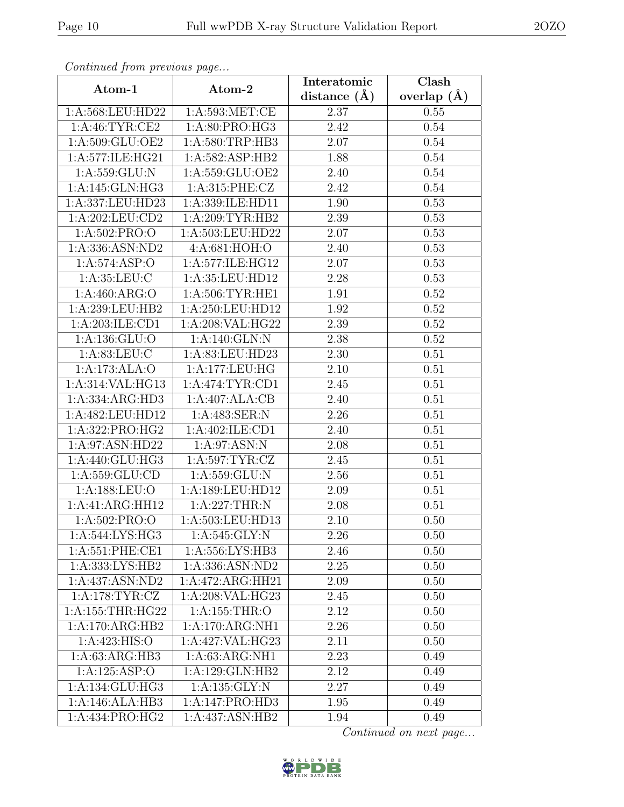| Continued from previous page |                   | Interatomic      | Clash           |
|------------------------------|-------------------|------------------|-----------------|
| Atom-1                       | Atom-2            | distance $(\AA)$ | overlap $(\AA)$ |
| 1:A:568:LEU:HD22             | 1: A:593: MET:CE  | 2.37             | 0.55            |
| 1: A:46: TYR:CE2             | 1: A:80: PRO:HG3  | 2.42             | 0.54            |
| 1:A:509:GLU:OE2              | 1: A:580:TRP:HB3  | 2.07             | 0.54            |
| 1:A:577:ILE:HG21             | 1:A:582:ASP:HB2   | 1.88             | 0.54            |
| 1:A:559:GLU:N                | 1: A:559: GLU:OE2 | 2.40             | 0.54            |
| 1: A:145: GLN: HG3           | 1:A:315:PHE:CZ    | 2.42             | 0.54            |
| 1:A:337:LEU:HD23             | 1:A:339:ILE:HD11  | 1.90             | 0.53            |
| 1: A:202:LEU:CD2             | 1: A:209:TYR:HB2  | 2.39             | 0.53            |
| 1:A:502:PRO:O                | 1:A:503:LEU:HD22  | 2.07             | 0.53            |
| 1:A:336:ASN:ND2              | 4:A:681:HOH:O     | 2.40             | 0.53            |
| 1:A:574:ASP:O                | 1:A:577:ILE:HG12  | 2.07             | 0.53            |
| 1: A:35:LEU: C               | 1:A:35:LEU:HD12   | 2.28             | 0.53            |
| 1: A:460: ARG:O              | 1:A:506:TYR:HE1   | 1.91             | 0.52            |
| 1:A:239:LEU:HB2              | 1:A:250:LEU:HD12  | 1.92             | 0.52            |
| 1:A:203:ILE:CD1              | 1:A:208:VAL:HG22  | 2.39             | 0.52            |
| 1:A:136:GLU:O                | 1:A:140:GLN:N     | 2.38             | 0.52            |
| 1: A:83:LEU: C               | 1:A:83:LEU:HD23   | 2.30             | 0.51            |
| 1:A:173:ALA:O                | 1:A:177:LEU:HG    | 2.10             | 0.51            |
| 1:A:314:VAL:HG13             | 1: A:474:TYR:CD1  | 2.45             | 0.51            |
| 1:A:334:ARG:HD3              | 1:A:407:ALA:CB    | 2.40             | 0.51            |
| 1:A:482:LEU:HD12             | 1:A:483:SER:N     | 2.26             | 0.51            |
| 1:A:322:PRO:HG2              | 1:A:402:ILE:CD1   | 2.40             | 0.51            |
| 1:A:97:ASN:HD22              | 1:A:97:ASN:N      | 2.08             | 0.51            |
| 1:A:440:GLU:HG3              | 1: A:597: TYR: CZ | 2.45             | 0.51            |
| 1: A: 559: GLU: CD           | 1:A:559:GLU:N     | $2.56\,$         | 0.51            |
| 1:A:188:LEU:O                | 1:A:189:LEU:HD12  | 2.09             | 0.51            |
| 1:A:41:ARG:HH12              | 1:A:227:THR:N     | 2.08             | 0.51            |
| 1: A:502: PRO:O              | 1:A:503:LEU:HD13  | 2.10             | 0.50            |
| $1:$ A:544:LYS:HG3           | 1: A:545: GLY:N   | 2.26             | 0.50            |
| 1: A:551: PHE:CE1            | 1:A:556:LYS:HB3   | 2.46             | 0.50            |
| 1:A:333:LYS:HB2              | 1:A:336:ASN:ND2   | 2.25             | 0.50            |
| 1:A:437:ASN:ND2              | 1:A:472:ARG:HH21  | 2.09             | 0.50            |
| 1: A:178: TYR: CZ            | 1:A:208:VAL:HG23  | 2.45             | 0.50            |
| 1:A:155:THR:HG22             | 1:A:155:THR:O     | 2.12             | 0.50            |
| 1:A:170:ARG:HB2              | 1:A:170:ARG:NH1   | 2.26             | 0.50            |
| 1:A:423:HIS:O                | 1:A:427:VAL:HG23  | 2.11             | 0.50            |
| 1: A:63: ARG:HB3             | 1: A:63: ARG:NH1  | 2.23             | 0.49            |
| 1:A:125:ASP:O                | 1:A:129:GLN:HB2   | 2.12             | 0.49            |
| 1: A: 134: GLU: HG3          | 1:A:135:GLY:N     | 2.27             | 0.49            |
| 1:A:146:ALA:HB3              | 1:A:147:PRO:HD3   | 1.95             | 0.49            |
| 1:A:434:PRO:HG2              | 1:A:437:ASN:HB2   | 1.94             | 0.49            |

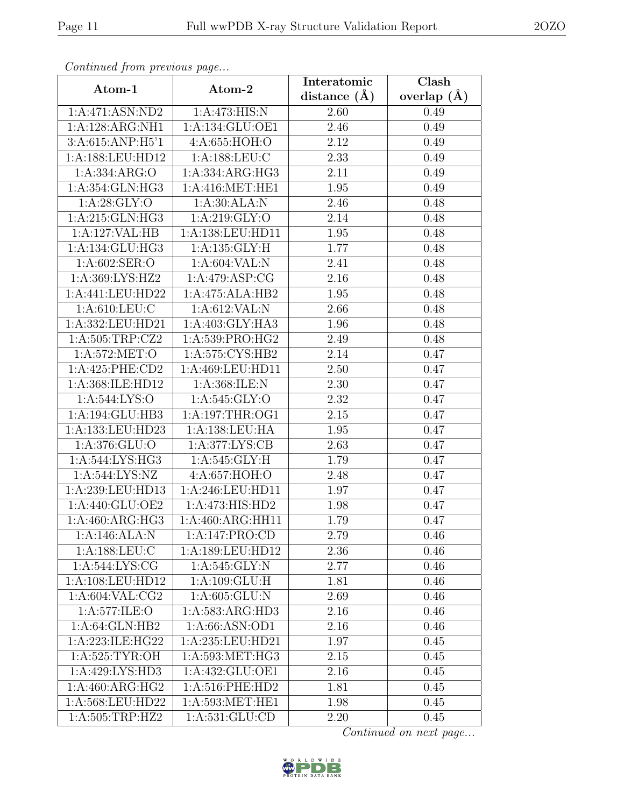| Continued from previous page        |                      | Interatomic    | Clash         |
|-------------------------------------|----------------------|----------------|---------------|
| Atom-1                              | Atom-2               | distance $(A)$ | overlap $(A)$ |
| 1:A:471:ASN:ND2                     | 1:A:473:HIS:N        | 2.60           | 0.49          |
| 1:A:128:ARG:NH1                     | 1:A:134:GLU:OE1      | 2.46           | 0.49          |
| 3:A:615:ANP:H5'1                    | 4:A:655:HOH:O        | 2.12           | 0.49          |
| 1:A:188:LEU:HD12                    | 1:A:188:LEU:C        | 2.33           | 0.49          |
| 1: A: 334: ARG: O                   | 1:A:334:ARG:HG3      | 2.11           | 0.49          |
| 1:A:354:GLN:HG3                     | 1: A:416: MET:HE1    | 1.95           | 0.49          |
| 1: A:28: GLY:O                      | 1:A:30:ALA:N         | 2.46           | 0.48          |
| 1:A:215:GLN:HG3                     | 1: A:219: GLY:O      | 2.14           | 0.48          |
| 1:A:127:VAL:HB                      | 1:A:138:LEU:HD11     | 1.95           | 0.48          |
| 1:A:134:GLU:HG3                     | 1: A: 135: GLY: H    | 1.77           | 0.48          |
| 1:A:602:SER:O                       | 1: A:604:VAL: N      | 2.41           | 0.48          |
| 1:A:369:LYS:HZ2                     | 1:A:479:ASP:CG       | 2.16           | 0.48          |
| 1:A:441:LEU:HD22                    | 1:A:475:ALA:HB2      | 1.95           | 0.48          |
| $1: A:610:LE\overline{U:C}$         | 1: A:612:VAL: N      | 2.66           | 0.48          |
| 1:A:332:LEU:HD21                    | 1:A:403:GLY:HA3      | 1.96           | 0.48          |
| 1: A:505:TRP: CZ2                   | 1:A:539:PRO:HG2      | 2.49           | 0.48          |
| 1: A:572: MET:O                     | 1: A: 575: CYS: HB2  | 2.14           | 0.47          |
| 1:A:425:PHE:CD2                     | 1:A:469:LEU:HD11     | 2.50           | 0.47          |
| 1:A:368:ILE:HD12                    | 1:A:368:ILE:N        | 2.30           | 0.47          |
| 1:A:544:LYS:O                       | 1:A:545:GLY:O        | 2.32           | 0.47          |
| 1:A:194:GLU:HB3                     | 1: A:197:THR:OG1     | 2.15           | 0.47          |
| 1:A:133:LEU:HD23                    | 1: A: 138: LEU: HA   | 1.95           | 0.47          |
| 1:A:376:GLU:O                       | 1:A:377:LYS:CB       | 2.63           | 0.47          |
| 1: A:544: LYS: HG3                  | 1: A:545: GLY: H     | 1.79           | 0.47          |
| 1: A:544: LYS: NZ                   | 4:A:657:HOH:O        | 2.48           | 0.47          |
| 1:A:239:LEU:HD13                    | 1:A:246:LEU:HD11     | 1.97           | 0.47          |
| 1: A:440: GLU:OE2                   | 1:A:473:HIS:HD2      | 1.98           | 0.47          |
| 1:A:460:ARG:HG3                     | 1:A:460:ARG:HH11     | 1.79           | 0.47          |
| 1:A:146:ALA:N                       | 1:A:147:PRO:CD       | 2.79           | 0.46          |
| 1: A: 188: LEU: C                   | 1: A: 189: LEU: HD12 | 2.36           | 0.46          |
| 1: A:544: LYS: CG                   | 1:A:545:GLY:N        | 2.77           | 0.46          |
| 1:A:108:LEU:HD12                    | 1:A:109:GLU:H        | 1.81           | 0.46          |
| 1: A:604:VAL: CG2                   | 1:A:605:GLU:N        | 2.69           | 0.46          |
| 1:A:577:ILE:O                       | 1:A:583:ARG:HD3      | 2.16           | 0.46          |
| 1: A:64: GLN:HB2                    | 1:A:66:ASN:OD1       | 2.16           | 0.46          |
| 1:A:223:ILE:HG22                    | 1:A:235:LEU:HD21     | 1.97           | 0.45          |
| 1: A:525: TYR:OH                    | 1: A:593: MET:HG3    | $2.15\,$       | 0.45          |
| $1:A:429:\overline{\text{LYS:HD3}}$ | 1:A:432:GLU:OE1      | 2.16           | 0.45          |
| 1:A:460:ARG:HG2                     | 1: A:516: PHE:HD2    | 1.81           | 0.45          |
| 1:A:568:LEU:HD22                    | 1:A:593:MET:HE1      | 1.98           | 0.45          |
| 1:A:505:TRP:HZ2                     | 1:A:531:GLU:CD       | 2.20           | 0.45          |

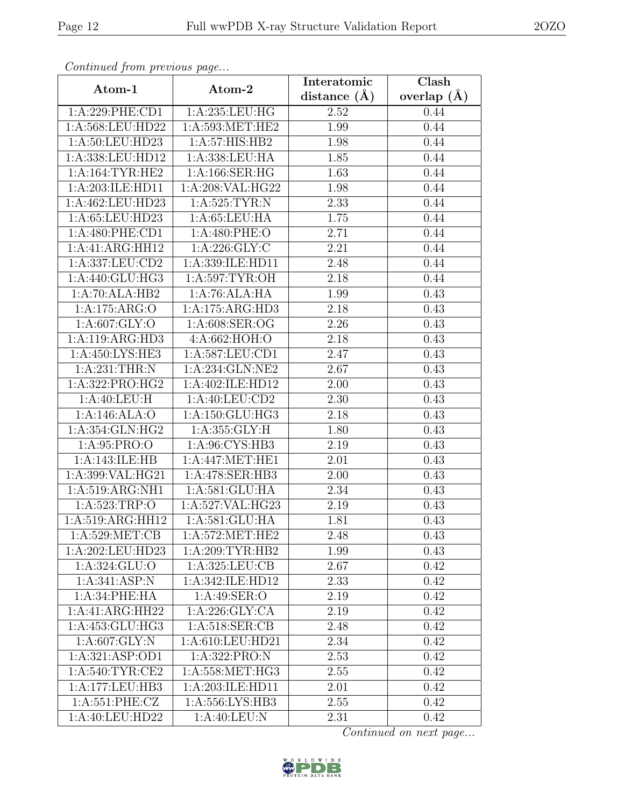| Continuea from previous page |                                                        | Interatomic    | $\overline{\text{Clash}}$ |
|------------------------------|--------------------------------------------------------|----------------|---------------------------|
| Atom-1                       | Atom-2                                                 | distance $(A)$ | overlap $(A)$             |
| 1:A:229:PHE:CD1              | 1:A:235:LEU:HG                                         | 2.52           | 0.44                      |
| 1:A:568:LEU:HD22             | 1:A:593:MET:HE2                                        | 1.99           | 0.44                      |
| 1:A:50:LEU:HD23              | 1:A:57:HIS:HB2                                         | 1.98           | 0.44                      |
| 1:A:338:LEU:HD12             | 1:A:338:LEU:HA                                         | 1.85           | 0.44                      |
| 1: A:164:TYR:HE2             | 1:A:166:SER:HG                                         | 1.63           | 0.44                      |
| 1:A:203:ILE:HD11             | 1:A:208:VAL:HG22                                       | 1.98           | 0.44                      |
| 1:A:462:LEU:HD23             | 1: A:525:TYR:N                                         | 2.33           | 0.44                      |
| 1:A:65:LEU:HD23              | 1: A:65:LEU:HA                                         | 1.75           | 0.44                      |
| $1:A:480:$ PHE:CD1           | 1:A:480:PHE:O                                          | 2.71           | 0.44                      |
| 1:A:41:ARG:HH12              | 1: A:226: GLY: C                                       | 2.21           | 0.44                      |
| 1:A:337:LEU:CD2              | 1:A:339:ILE:HD11                                       | 2.48           | 0.44                      |
| 1:A:440:GLU:HG3              | 1:A:597:TYR:OH                                         | 2.18           | 0.44                      |
| 1:A:70:ALA:HB2               | 1:A:76:ALA:HA                                          | 1.99           | 0.43                      |
| 1:A:175:ARG:O                | 1:A:175:ARG:HD3                                        | 2.18           | 0.43                      |
| 1: A:607: GLY:O              | 1:A:608:SER:OG                                         | 2.26           | 0.43                      |
| 1:A:119:ARG:HD3              | 4:A:662:HOH:O                                          | 2.18           | 0.43                      |
| 1:A:450:LYS:HE3              | 1:A:587:LEU:CD1                                        | 2.47           | 0.43                      |
| 1:A:231:THR:N                | 1:A:234:GLN:NE2                                        | 2.67           | 0.43                      |
| 1:A:322:PRO:HG2              | 1:A:402:ILE:HD12                                       | 2.00           | 0.43                      |
| 1:A:40:LEU:H                 | 1: A:40: LEU:CD2                                       | 2.30           | 0.43                      |
| 1:A:146:ALA:O                | 1:A:150:GLU:HG3                                        | 2.18           | 0.43                      |
| 1:A:354:GLN:HG2              | 1: A: 355: GLY: H                                      | 1.80           | 0.43                      |
| 1:A:95:PRO:O                 | 1:A:96:CYS:HB3                                         | 2.19           | 0.43                      |
| 1:A:143:ILE:HB               | 1:A:447:MET:HE1                                        | 2.01           | 0.43                      |
| 1:A:399:VAL:HG21             | 1:A:478:SER:HB3                                        | 2.00           | 0.43                      |
| 1:A:519:ARG:NH1              | 1:A:581:GLU:HA                                         | 2.34           | 0.43                      |
| 1:A:523:TRP:O                | 1:A:527:VAL:HG23                                       | 2.19           | 0.43                      |
| 1:A:519:ARG:HH12             | 1:A:581:GLU:HA                                         | 1.81           | 0.43                      |
| 1: A:529: MET:CB             | $1: A:572: \overline{\text{MET}:HE2}$                  | 2.48           | 0.43                      |
| 1:A:202:LEU:HD23             | 1:A:209:TYR:HB2                                        | 1.99           | 0.43                      |
| 1:A:324:GLU:O                | 1: A:325: LEU: CB                                      | 2.67           | 0.42                      |
| 1: A:341: ASP: N             | 1:A:342:ILE:HD12                                       | 2.33           | 0.42                      |
| 1: A:34:PHE:HA               | 1:A:49:SER:O                                           | 2.19           | 0.42                      |
| 1:A:41:ARG:HH22              | 1: A:226: GLY:CA                                       | 2.19           | 0.42                      |
| 1:A:453:GLU:HG3              | 1: A:518: SER: CB                                      | 2.48           | 0.42                      |
| 1: A:607: GLY:N              | 1:A:610:LEU:HD21                                       | 2.34           | 0.42                      |
| 1:A:321:ASP:OD1              | 1:A:322:PRO:N                                          | 2.53           | 0.42                      |
| 1: A:540: TYR: CE2           | 1:A:558:MET:HG3                                        | 2.55           | 0.42                      |
| 1:A:177:LEU:HB3              | 1:A:203:ILE:HD11                                       | 2.01           | 0.42                      |
| 1:A:551:PHE:CZ               | 1:A:556:LYS:HB3                                        | 2.55           | 0.42                      |
| 1:A:40:LEU:HD22              | $1:A:40:\overline{\textrm{LEU}}:\overline{\textrm{N}}$ | 2.31           | 0.42                      |

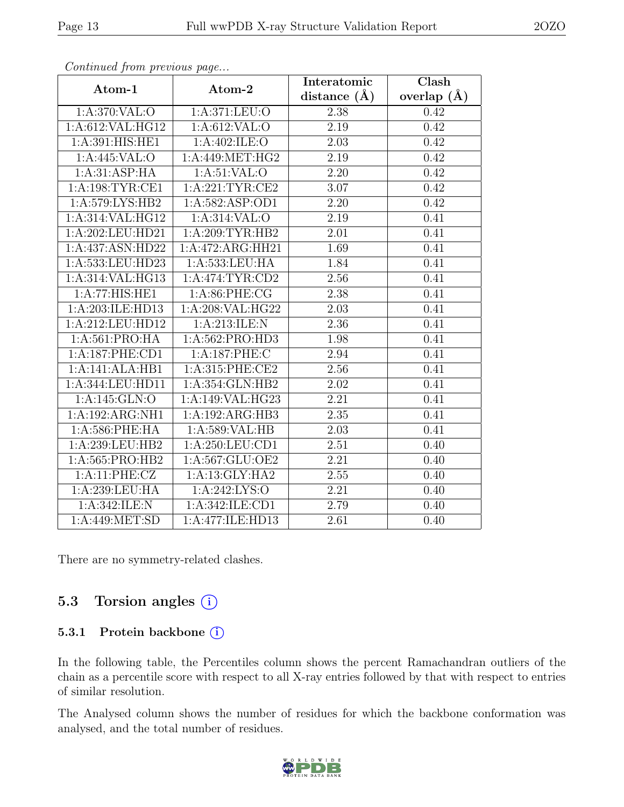| $\cdots$ $\cdots$ $\cdots$ | $\mathbf{r} \cdot \mathbf{y}$              | Interatomic    | $\overline{\text{Clash}}$ |
|----------------------------|--------------------------------------------|----------------|---------------------------|
| Atom-1                     | Atom-2                                     | distance $(A)$ | overlap $(\AA)$           |
| 1:A:370:VAL:O              | 1: A:371:LEU:O                             | 2.38           | 0.42                      |
| 1:A:612:VAL:HG12           | 1: A:612:VAL:O                             | 2.19           | 0.42                      |
| 1:A:391:HIS:HE1            | 1:A:402:ILE:O                              | 2.03           | 0.42                      |
| 1: A:445: VAL:O            | $1:A:449:\overline{\text{MET}}:\text{HG2}$ | 2.19           | 0.42                      |
| 1:A:31:ASP:HA              | $1: A:51:VAL:$ <sup>O</sup>                | 2.20           | 0.42                      |
| 1: A: 198: TYR: CE1        | 1:A:221:TYR:CE2                            | 3.07           | 0.42                      |
| 1:A:579:LYS:HB2            | 1:A:582:ASP:OD1                            | 2.20           | 0.42                      |
| 1:A:314:VAL:HG12           | 1: A:314: VAL:O                            | 2.19           | 0.41                      |
| 1:A:202:LEU:HD21           | 1:A:209:TYR:HB2                            | 2.01           | 0.41                      |
| 1:A:437:ASN:HD22           | 1:A:472:ARG:HH21                           | 1.69           | 0.41                      |
| 1:A:533:LEU:HD23           | 1:A:533:LEU:HA                             | 1.84           | 0.41                      |
| 1:A:314:VAL:HG13           | 1: A:474:TYR:CD2                           | 2.56           | 0.41                      |
| 1:A:77:HIS:HE1             | 1: A:86:PHE:CG                             | 2.38           | 0.41                      |
| 1:A:203:ILE:HD13           | 1:A:208:VAL:HG22                           | 2.03           | 0.41                      |
| 1:A:212:LEU:HD12           | 1:A:213:ILE:N                              | 2.36           | 0.41                      |
| 1:A:561:PRO:HA             | 1:A:562:PRO:HD3                            | 1.98           | 0.41                      |
| 1:A:187:PHE:CD1            | 1:A:187:PHE:C                              | 2.94           | 0.41                      |
| 1:A:141:ALA:HB1            | 1:A:315:PHE:CE2                            | 2.56           | 0.41                      |
| 1:A:344:LEU:HD11           | 1:A:354:GLN:HB2                            | 2.02           | 0.41                      |
| 1:A:145:GLN:O              | 1:A:149:VAL:HG23                           | 2.21           | 0.41                      |
| 1:A:192:ARG:NH1            | 1:A:192:ARG:HB3                            | 2.35           | 0.41                      |
| $1: A:586:$ PHE:HA         | 1: A:589: VAL: HB                          | 2.03           | 0.41                      |
| 1:A:239:LEU:HB2            | 1:A:250:LEU:CD1                            | 2.51           | 0.40                      |
| 1:A:565:PRO:HB2            | 1:A:567:GLU:OE2                            | 2.21           | 0.40                      |
| 1:A:11:PHE:CZ              | 1:A:13:GLY:HA2                             | 2.55           | 0.40                      |
| 1:A:239:LEU:HA             | 1:A:242:LYS:O                              | 2.21           | 0.40                      |
| 1:A:342:ILE:N              | 1: A:342: ILE: CD1                         | 2.79           | 0.40                      |
| 1: A:449: MET:SD           | 1:A:477:ILE:HD13                           | 2.61           | 0.40                      |

There are no symmetry-related clashes.

### 5.3 Torsion angles  $(i)$

#### 5.3.1 Protein backbone (i)

In the following table, the Percentiles column shows the percent Ramachandran outliers of the chain as a percentile score with respect to all X-ray entries followed by that with respect to entries of similar resolution.

The Analysed column shows the number of residues for which the backbone conformation was analysed, and the total number of residues.

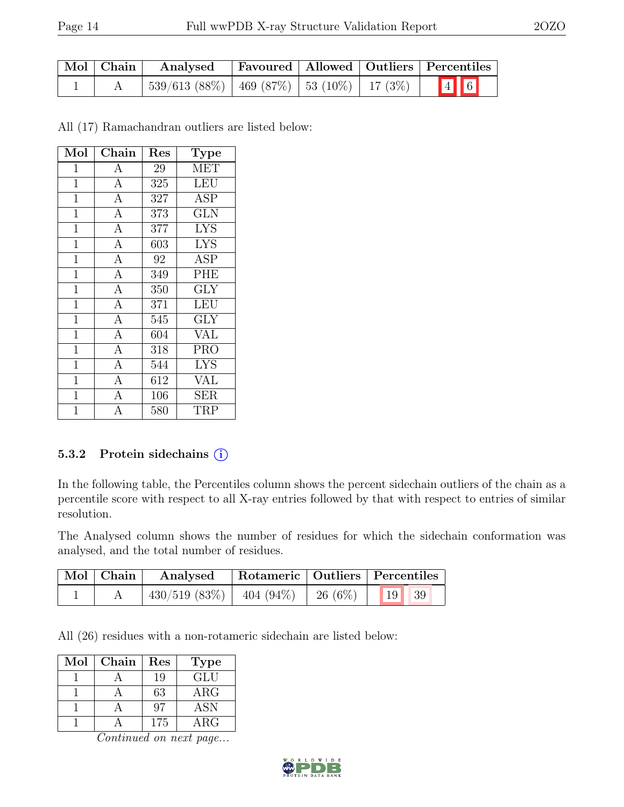| $\mid$ Mol $\mid$ Chain $\mid$ | ' Analysed                                           |  | Favoured   Allowed   Outliers   Percentiles |
|--------------------------------|------------------------------------------------------|--|---------------------------------------------|
|                                | $539/613$ (88\%)   469 (87\%)   53 (10\%)   17 (3\%) |  | $\boxed{4}$ 6                               |

All (17) Ramachandran outliers are listed below:

| Mol            | Chain          | Res | Type                    |
|----------------|----------------|-----|-------------------------|
| $\mathbf 1$    | A              | 29  | <b>MET</b>              |
| $\mathbf{1}$   | $\overline{A}$ | 325 | <b>LEU</b>              |
| $\mathbf{1}$   | $\overline{A}$ | 327 | ĀSP                     |
| $\mathbf{1}$   | $\overline{A}$ | 373 | $\overline{\text{GLN}}$ |
| $\overline{1}$ | $\overline{A}$ | 377 | <b>LYS</b>              |
| $\overline{1}$ | $\overline{A}$ | 603 | <b>LYS</b>              |
| $\mathbf{1}$   | $\overline{A}$ | 92  | <b>ASP</b>              |
| $\mathbf{1}$   | $\overline{A}$ | 349 | PHE                     |
| $\mathbf{1}$   | $\overline{A}$ | 350 | <b>GLY</b>              |
| $\overline{1}$ | $\overline{A}$ | 371 | LEU                     |
| $\mathbf{1}$   | $\overline{A}$ | 545 | $\overline{\text{GLY}}$ |
| $\mathbf{1}$   | $\overline{A}$ | 604 | <b>VAL</b>              |
| $\overline{1}$ | $\overline{A}$ | 318 | <b>PRO</b>              |
| $\mathbf 1$    | $\overline{A}$ | 544 | <b>LYS</b>              |
| 1              | $\overline{A}$ | 612 | VAL                     |
| $\mathbf 1$    | $\overline{A}$ | 106 | SER                     |
| 1              | A              | 580 | TRP                     |

#### 5.3.2 Protein sidechains (i)

In the following table, the Percentiles column shows the percent sidechain outliers of the chain as a percentile score with respect to all X-ray entries followed by that with respect to entries of similar resolution.

The Analysed column shows the number of residues for which the sidechain conformation was analysed, and the total number of residues.

| $\mid$ Mol $\mid$ Chain | Analysed                                 |  | Rotameric   Outliers   Percentiles |
|-------------------------|------------------------------------------|--|------------------------------------|
|                         | $430/519$ (83\%)   404 (94\%)   26 (6\%) |  | 19   39                            |

All (26) residues with a non-rotameric sidechain are listed below:

| Mol | Chain | Res | <b>Type</b> |
|-----|-------|-----|-------------|
|     |       | 19  | GLU         |
|     |       | 63  | $\rm{ARG}$  |
|     |       | 97  | <b>ASN</b>  |
|     |       | 175 | $\rm{ARG}$  |

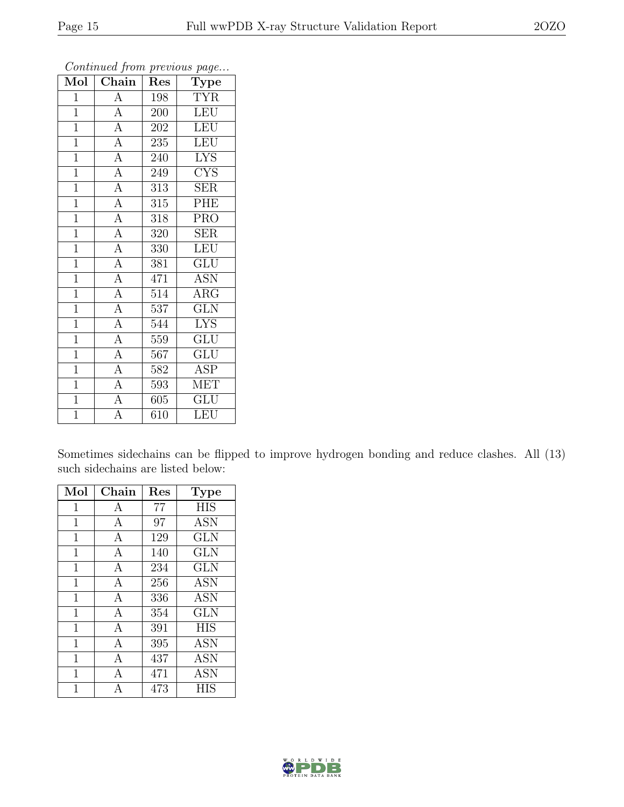| Mol            | $\overline{\text{Chain}}$ | Res              | contenuou from procesus pago<br>Type |
|----------------|---------------------------|------------------|--------------------------------------|
| $\mathbf{1}$   | $\overline{A}$            | 198              | <b>TYR</b>                           |
| $\mathbf{1}$   | $\overline{A}$            | 200              | <b>LEU</b>                           |
| $\overline{1}$ | $\overline{A}$            | 202              | <b>LEU</b>                           |
| $\overline{1}$ | $\overline{A}$            | 235              | LEU                                  |
| $\mathbf{1}$   | $\overline{A}$            | 240              | $\overline{\text{L} \text{YS}}$      |
| $\mathbf{1}$   | $\overline{A}$            | 249              | <b>CYS</b>                           |
| $\mathbf{1}$   | $\overline{A}$            | 313              | <b>SER</b>                           |
| $\overline{1}$ | $\overline{A}$            | $\overline{315}$ | PHE                                  |
| $\mathbf{1}$   | $\overline{A}$            | 318              | <b>PRO</b>                           |
| $\mathbf{1}$   | $\overline{A}$            | 320              | <b>SER</b>                           |
| $\overline{1}$ | $\overline{A}$            | 330              | <b>LEU</b>                           |
| $\mathbf{1}$   | $\overline{A}$            | 381              | $\overline{\mathrm{GLU}}$            |
| $\overline{1}$ | $\overline{A}$            | 471              | <b>ASN</b>                           |
| $\mathbf{1}$   | $\overline{A}$            | 514              | $\rm{ARG}$                           |
| $\mathbf{1}$   | $\overline{A}$            | 537              | $\overline{\text{GLN}}$              |
| $\overline{1}$ | $\overline{A}$            | 544              | <b>LYS</b>                           |
| $\mathbf{1}$   | $\overline{A}$            | 559              | GLU                                  |
| $\mathbf{1}$   | $\overline{A}$            | 567              | GLU                                  |
| $\mathbf{1}$   | $\overline{A}$            | 582              | <b>ASP</b>                           |
| $\mathbf{1}$   | $\overline{A}$            | 593              | <b>MET</b>                           |
| $\mathbf{1}$   | $\overline{A}$            | 605              | <b>GLU</b>                           |
| $\overline{1}$ | $\overline{\rm A}$        | 610              | LEU                                  |

Sometimes sidechains can be flipped to improve hydrogen bonding and reduce clashes. All (13) such sidechains are listed below:

| Mol            | Chain | Res | <b>Type</b> |
|----------------|-------|-----|-------------|
| $\mathbf{1}$   | A     | 77  | <b>HIS</b>  |
| $\mathbf{1}$   | А     | 97  | <b>ASN</b>  |
| $\mathbf{1}$   | А     | 129 | GLN         |
| $\mathbf{1}$   | А     | 140 | <b>GLN</b>  |
| $\mathbf 1$    | А     | 234 | GLN         |
| $\overline{1}$ | A     | 256 | <b>ASN</b>  |
| $\mathbf{1}$   | А     | 336 | <b>ASN</b>  |
| $\overline{1}$ | А     | 354 | <b>GLN</b>  |
| $\overline{1}$ | A     | 391 | <b>HIS</b>  |
| $\mathbf{1}$   | А     | 395 | <b>ASN</b>  |
| $\overline{1}$ | А     | 437 | <b>ASN</b>  |
| $\overline{1}$ | А     | 471 | <b>ASN</b>  |
| 1              | А     | 473 | HIS         |

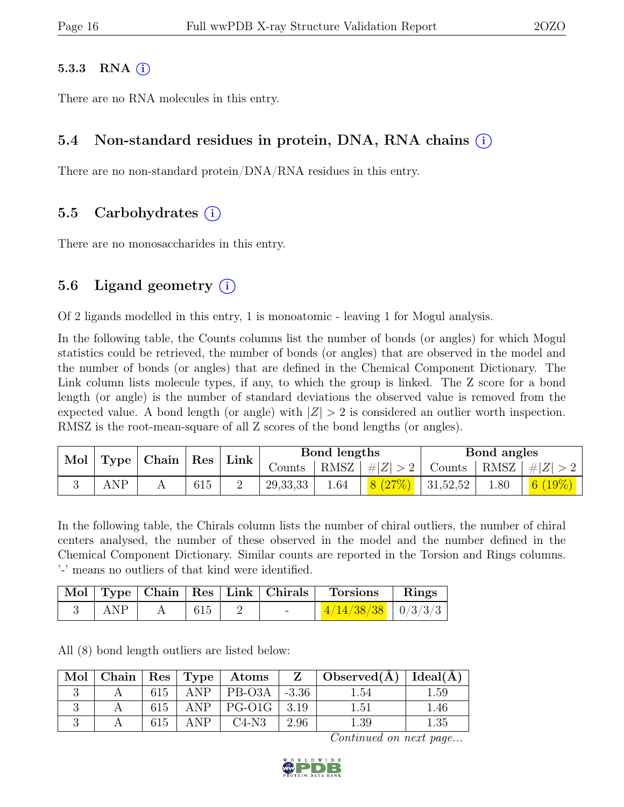#### 5.3.3 RNA  $(i)$

There are no RNA molecules in this entry.

### 5.4 Non-standard residues in protein, DNA, RNA chains (i)

There are no non-standard protein/DNA/RNA residues in this entry.

### 5.5 Carbohydrates (i)

There are no monosaccharides in this entry.

### 5.6 Ligand geometry  $(i)$

Of 2 ligands modelled in this entry, 1 is monoatomic - leaving 1 for Mogul analysis.

In the following table, the Counts columns list the number of bonds (or angles) for which Mogul statistics could be retrieved, the number of bonds (or angles) that are observed in the model and the number of bonds (or angles) that are defined in the Chemical Component Dictionary. The Link column lists molecule types, if any, to which the group is linked. The Z score for a bond length (or angle) is the number of standard deviations the observed value is removed from the expected value. A bond length (or angle) with  $|Z| > 2$  is considered an outlier worth inspection. RMSZ is the root-mean-square of all Z scores of the bond lengths (or angles).

| Mol<br>Type |     | $ $ Chain $ $ Res |     |  |            | Link |                              | Bond lengths |                            | Bond angles |  |
|-------------|-----|-------------------|-----|--|------------|------|------------------------------|--------------|----------------------------|-------------|--|
|             |     |                   |     |  | Counts     |      | RMSZ   # Z  > 2              |              | Counts   RMSZ $ \#Z  > 2$  |             |  |
|             | ANP |                   | 615 |  | 29, 33, 33 | 1.64 | $\frac{8(27\%)}{1.31,52,52}$ | 1.80         | $\mid$ $6 \ (19\%) \ \mid$ |             |  |

In the following table, the Chirals column lists the number of chiral outliers, the number of chiral centers analysed, the number of these observed in the model and the number defined in the Chemical Component Dictionary. Similar counts are reported in the Torsion and Rings columns. '-' means no outliers of that kind were identified.

|     |  | Mol   Type   Chain   Res   Link   Chirals | Torsions               | $\mathbf{Rings}$ |
|-----|--|-------------------------------------------|------------------------|------------------|
| ANP |  |                                           | $4/14/38/38$   0/3/3/3 |                  |

All (8) bond length outliers are listed below:

| Mol |     |      | $\mid$ Chain $\mid$ Res $\mid$ Type $\mid$ Atoms | $\mathbf{Z}$ | Observed( $\AA$ )   Ideal( $\AA$ ) |       |
|-----|-----|------|--------------------------------------------------|--------------|------------------------------------|-------|
|     | 615 | ANP. | $ $ PB-O3A                                       | $-3.36$      | .54                                | . .59 |
|     | 615 |      | $ANP$   PG-O1G                                   | 3.19         | 1.51                               | 1.46  |
|     |     | ANP  | $C4-N3$                                          | 2.96         |                                    |       |

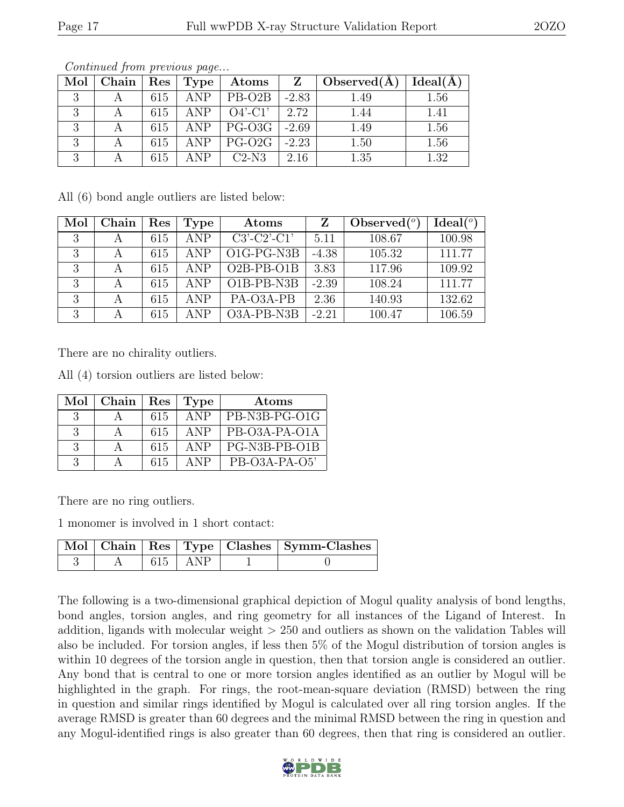| Mol           | $\mid$ Chain $\mid$ | $\operatorname{Res}$ | $ $ Type $ $ | $\boldsymbol{\mathrm{Atoms}}$ | Z       | Observed $(A)$ | Ideal(A) |
|---------------|---------------------|----------------------|--------------|-------------------------------|---------|----------------|----------|
| $\mathcal{Q}$ |                     | 615                  | <b>ANP</b>   | $PB-O2B$                      | $-2.83$ | 1.49           | 1.56     |
| $\mathbf{Q}$  |                     | 615                  | ANP          | $O4'$ -C1'                    | 2.72    | 1.44           | 1.41     |
| $\mathbf{Q}$  |                     | 615                  |              | $ANP$   PG-O3G                | $-2.69$ | 1.49           | 1.56     |
| 2             |                     | 615                  | ANP          | $PG-O2G$                      | $-2.23$ | 1.50           | 1.56     |
| $\Omega$      |                     | 615                  | ANP          | $C2-N3$                       | 2.16    | 1.35           | 1.32     |

All (6) bond angle outliers are listed below:

| Mol | Chain | Res | Type | Atoms         |         | Observed $(^\circ)$ | Ideal <sup>(o)</sup> |
|-----|-------|-----|------|---------------|---------|---------------------|----------------------|
| 3   |       | 615 | ANP  | $C3'-C2'-C1'$ | 5.11    | 108.67              | 100.98               |
| 3   |       | 615 | ANP  | $O1G-PG-NSB$  | $-4.38$ | 105.32              | 111.77               |
| 3   |       | 615 | ANP  | $O2B-PB-O1B$  | 3.83    | 117.96              | 109.92               |
| 3   |       | 615 | ANP  | O1B-PB-N3B    | $-2.39$ | 108.24              | 111.77               |
| 3   |       | 615 | ANP  | PA-O3A-PB     | 2.36    | 140.93              | 132.62               |
| 3   |       | 615 | ANP  | O3A-PB-N3B    | $-2.21$ | 100.47              | 106.59               |

There are no chirality outliers.

All (4) torsion outliers are listed below:

| Mol           | Chain | Res | Type       | Atoms         |
|---------------|-------|-----|------------|---------------|
| -3            |       | 615 | <b>ANP</b> | PB-N3B-PG-O1G |
| 3             |       | 615 | <b>ANP</b> | PB-O3A-PA-O1A |
| 3             |       | 615 | ANP        | PG-N3B-PB-O1B |
| $\mathcal{R}$ |       | 615 | <b>ANP</b> | PB-O3A-PA-O5' |

There are no ring outliers.

1 monomer is involved in 1 short contact:

|  |             | Mol   Chain   Res   Type   Clashes   Symm-Clashes |
|--|-------------|---------------------------------------------------|
|  | $615$   ANP |                                                   |

The following is a two-dimensional graphical depiction of Mogul quality analysis of bond lengths, bond angles, torsion angles, and ring geometry for all instances of the Ligand of Interest. In addition, ligands with molecular weight > 250 and outliers as shown on the validation Tables will also be included. For torsion angles, if less then 5% of the Mogul distribution of torsion angles is within 10 degrees of the torsion angle in question, then that torsion angle is considered an outlier. Any bond that is central to one or more torsion angles identified as an outlier by Mogul will be highlighted in the graph. For rings, the root-mean-square deviation (RMSD) between the ring in question and similar rings identified by Mogul is calculated over all ring torsion angles. If the average RMSD is greater than 60 degrees and the minimal RMSD between the ring in question and any Mogul-identified rings is also greater than 60 degrees, then that ring is considered an outlier.

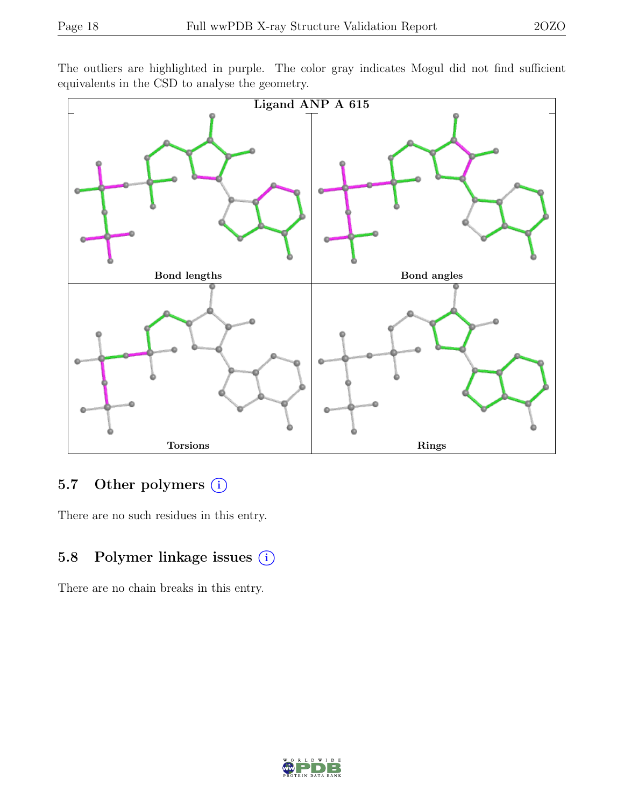The outliers are highlighted in purple. The color gray indicates Mogul did not find sufficient equivalents in the CSD to analyse the geometry.



# 5.7 Other polymers (i)

There are no such residues in this entry.

### 5.8 Polymer linkage issues (i)

There are no chain breaks in this entry.

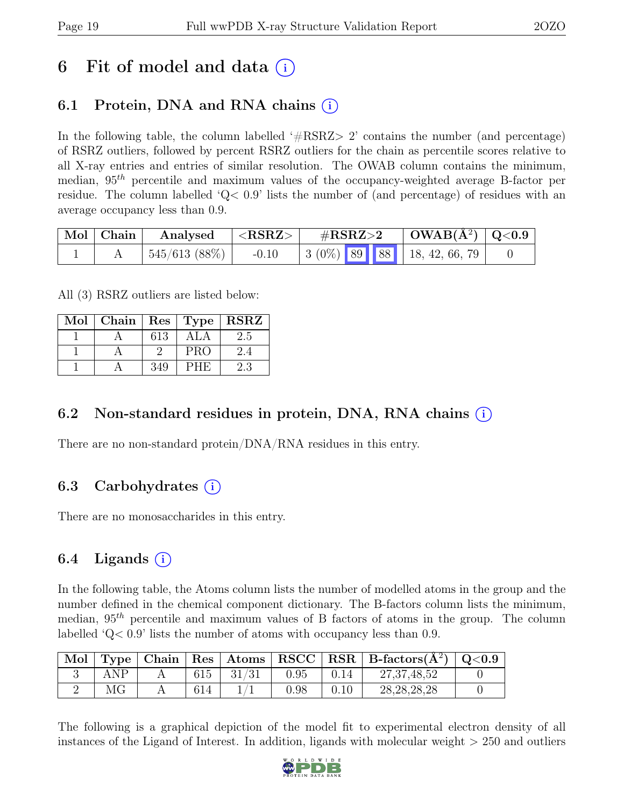# 6 Fit of model and data  $(i)$

# 6.1 Protein, DNA and RNA chains  $(i)$

In the following table, the column labelled  $#RSRZ>2$  contains the number (and percentage) of RSRZ outliers, followed by percent RSRZ outliers for the chain as percentile scores relative to all X-ray entries and entries of similar resolution. The OWAB column contains the minimum, median,  $95<sup>th</sup>$  percentile and maximum values of the occupancy-weighted average B-factor per residue. The column labelled 'Q< 0.9' lists the number of (and percentage) of residues with an average occupancy less than 0.9.

| $\mid$ Mol $\mid$ Chain | Analysed         | $ \langle \mathrm{RSRZ} \rangle$ | $\rm \#RSRZ{>}2$ | $\mid$ OWAB(Å <sup>2</sup> ) $\mid$ Q<0.9 $\mid$ |  |
|-------------------------|------------------|----------------------------------|------------------|--------------------------------------------------|--|
|                         | $545/613~(88\%)$ | $-0.10$                          |                  | $\vert$ 3 (0%) 89 88 18, 42, 66, 79              |  |

All (3) RSRZ outliers are listed below:

| Mol |     |            | Chain   $\text{Res}$   $\text{Type}$   $\text{RSRZ}$ |
|-----|-----|------------|------------------------------------------------------|
|     | 613 | ALA        | 2.5                                                  |
|     |     | <b>PRO</b> | 2.4                                                  |
|     | 349 | PHE        | 2.3                                                  |

### 6.2 Non-standard residues in protein, DNA, RNA chains (i)

There are no non-standard protein/DNA/RNA residues in this entry.

### 6.3 Carbohydrates  $(i)$

There are no monosaccharides in this entry.

## 6.4 Ligands  $(i)$

In the following table, the Atoms column lists the number of modelled atoms in the group and the number defined in the chemical component dictionary. The B-factors column lists the minimum, median,  $95<sup>th</sup>$  percentile and maximum values of B factors of atoms in the group. The column labelled 'Q< 0.9' lists the number of atoms with occupancy less than 0.9.

| Mol |     |     |       |          |      | Type   Chain   Res   Atoms   RSCC   RSR   B-factors $(\AA^2)$   Q<0.9 |  |
|-----|-----|-----|-------|----------|------|-----------------------------------------------------------------------|--|
|     | ANP | 615 | 31/31 | 0.95     | 0.14 | 27, 37, 48, 52                                                        |  |
|     | ΜG  | 614 |       | $0.98\,$ | 0.10 | 28, 28, 28, 28                                                        |  |

The following is a graphical depiction of the model fit to experimental electron density of all instances of the Ligand of Interest. In addition, ligands with molecular weight > 250 and outliers